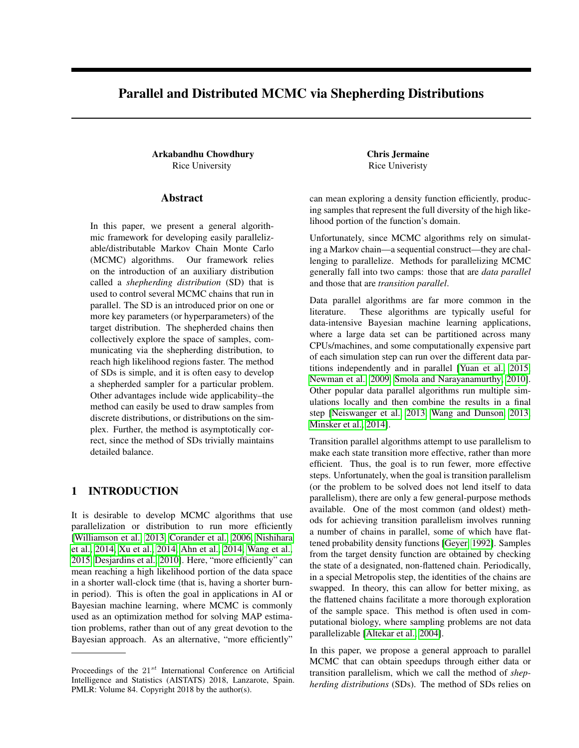# Parallel and Distributed MCMC via Shepherding Distributions

Arkabandhu Chowdhury Chris Jermaine Rice University Rice University

### Abstract

In this paper, we present a general algorithmic framework for developing easily parallelizable/distributable Markov Chain Monte Carlo (MCMC) algorithms. Our framework relies on the introduction of an auxiliary distribution called a *shepherding distribution* (SD) that is used to control several MCMC chains that run in parallel. The SD is an introduced prior on one or more key parameters (or hyperparameters) of the target distribution. The shepherded chains then collectively explore the space of samples, communicating via the shepherding distribution, to reach high likelihood regions faster. The method of SDs is simple, and it is often easy to develop a shepherded sampler for a particular problem. Other advantages include wide applicability–the method can easily be used to draw samples from discrete distributions, or distributions on the simplex. Further, the method is asymptotically correct, since the method of SDs trivially maintains detailed balance.

# 1 INTRODUCTION

It is desirable to develop MCMC algorithms that use parallelization or distribution to run more efficiently [\[Williamson et al., 2013,](#page-8-0) [Corander et al., 2006,](#page-8-1) [Nishihara](#page-8-2) [et al., 2014,](#page-8-2) [Xu et al., 2014,](#page-8-3) [Ahn et al., 2014,](#page-8-4) [Wang et al.,](#page-8-5) [2015,](#page-8-5) [Desjardins et al., 2010\]](#page-8-6). Here, "more efficiently" can mean reaching a high likelihood portion of the data space in a shorter wall-clock time (that is, having a shorter burnin period). This is often the goal in applications in AI or Bayesian machine learning, where MCMC is commonly used as an optimization method for solving MAP estimation problems, rather than out of any great devotion to the Bayesian approach. As an alternative, "more efficiently"

can mean exploring a density function efficiently, producing samples that represent the full diversity of the high likelihood portion of the function's domain.

Unfortunately, since MCMC algorithms rely on simulating a Markov chain—a sequential construct—they are challenging to parallelize. Methods for parallelizing MCMC generally fall into two camps: those that are *data parallel* and those that are *transition parallel*.

Data parallel algorithms are far more common in the literature. These algorithms are typically useful for data-intensive Bayesian machine learning applications, where a large data set can be partitioned across many CPUs/machines, and some computationally expensive part of each simulation step can run over the different data partitions independently and in parallel [\[Yuan et al., 2015,](#page-8-7) [Newman et al., 2009,](#page-8-8) [Smola and Narayanamurthy, 2010\]](#page-8-9). Other popular data parallel algorithms run multiple simulations locally and then combine the results in a final step [\[Neiswanger et al., 2013,](#page-8-10) [Wang and Dunson, 2013,](#page-8-11) [Minsker et al., 2014\]](#page-8-12).

Transition parallel algorithms attempt to use parallelism to make each state transition more effective, rather than more efficient. Thus, the goal is to run fewer, more effective steps. Unfortunately, when the goal is transition parallelism (or the problem to be solved does not lend itself to data parallelism), there are only a few general-purpose methods available. One of the most common (and oldest) methods for achieving transition parallelism involves running a number of chains in parallel, some of which have flattened probability density functions [\[Geyer, 1992\]](#page-8-13). Samples from the target density function are obtained by checking the state of a designated, non-flattened chain. Periodically, in a special Metropolis step, the identities of the chains are swapped. In theory, this can allow for better mixing, as the flattened chains facilitate a more thorough exploration of the sample space. This method is often used in computational biology, where sampling problems are not data parallelizable [\[Altekar et al., 2004\]](#page-8-14).

In this paper, we propose a general approach to parallel MCMC that can obtain speedups through either data or transition parallelism, which we call the method of *shepherding distributions* (SDs). The method of SDs relies on

Proceedings of the  $21^{st}$  International Conference on Artificial Intelligence and Statistics (AISTATS) 2018, Lanzarote, Spain. PMLR: Volume 84. Copyright 2018 by the author(s).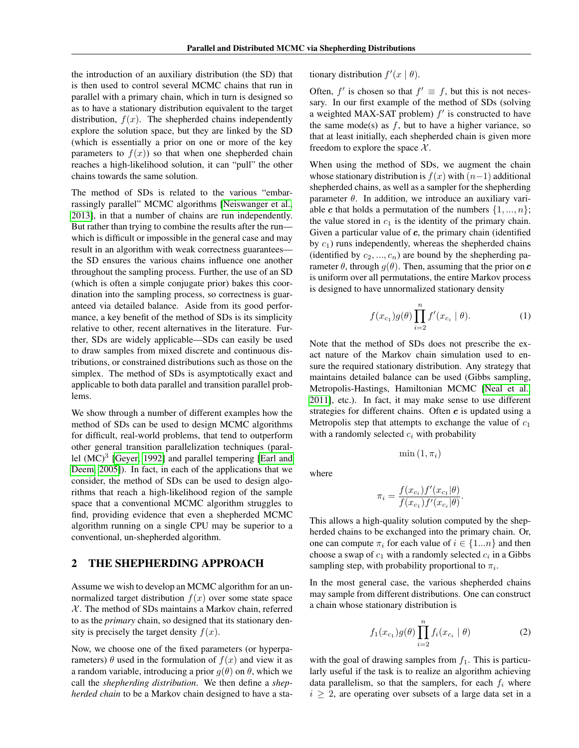the introduction of an auxiliary distribution (the SD) that is then used to control several MCMC chains that run in parallel with a primary chain, which in turn is designed so as to have a stationary distribution equivalent to the target distribution,  $f(x)$ . The shepherded chains independently explore the solution space, but they are linked by the SD (which is essentially a prior on one or more of the key parameters to  $f(x)$  so that when one shepherded chain reaches a high-likelihood solution, it can "pull" the other chains towards the same solution.

The method of SDs is related to the various "embarrassingly parallel" MCMC algorithms [\[Neiswanger et al.,](#page-8-10) [2013\]](#page-8-10), in that a number of chains are run independently. But rather than trying to combine the results after the run which is difficult or impossible in the general case and may result in an algorithm with weak correctness guarantees the SD ensures the various chains influence one another throughout the sampling process. Further, the use of an SD (which is often a simple conjugate prior) bakes this coordination into the sampling process, so correctness is guaranteed via detailed balance. Aside from its good performance, a key benefit of the method of SDs is its simplicity relative to other, recent alternatives in the literature. Further, SDs are widely applicable—SDs can easily be used to draw samples from mixed discrete and continuous distributions, or constrained distributions such as those on the simplex. The method of SDs is asymptotically exact and applicable to both data parallel and transition parallel problems.

We show through a number of different examples how the method of SDs can be used to design MCMC algorithms for difficult, real-world problems, that tend to outperform other general transition parallelization techniques (parallel  $(MC)^3$  [\[Geyer, 1992\]](#page-8-13) and parallel tempering [\[Earl and](#page-8-15) [Deem, 2005\]](#page-8-15)). In fact, in each of the applications that we consider, the method of SDs can be used to design algorithms that reach a high-likelihood region of the sample space that a conventional MCMC algorithm struggles to find, providing evidence that even a shepherded MCMC algorithm running on a single CPU may be superior to a conventional, un-shepherded algorithm.

### 2 THE SHEPHERDING APPROACH

Assume we wish to develop an MCMC algorithm for an unnormalized target distribution  $f(x)$  over some state space  $X$ . The method of SDs maintains a Markov chain, referred to as the *primary* chain, so designed that its stationary density is precisely the target density  $f(x)$ .

Now, we choose one of the fixed parameters (or hyperparameters)  $\theta$  used in the formulation of  $f(x)$  and view it as a random variable, introducing a prior  $g(\theta)$  on  $\theta$ , which we call the *shepherding distribution*. We then define a *shepherded chain* to be a Markov chain designed to have a stationary distribution  $f'(x | \theta)$ .

Often,  $f'$  is chosen so that  $f' \equiv f$ , but this is not necessary. In our first example of the method of SDs (solving a weighted MAX-SAT problem)  $f'$  is constructed to have the same mode(s) as  $f$ , but to have a higher variance, so that at least initially, each shepherded chain is given more freedom to explore the space  $\mathcal{X}$ .

When using the method of SDs, we augment the chain whose stationary distribution is  $f(x)$  with  $(n-1)$  additional shepherded chains, as well as a sampler for the shepherding parameter  $\theta$ . In addition, we introduce an auxiliary variable c that holds a permutation of the numbers  $\{1, ..., n\}$ ; the value stored in  $c_1$  is the identity of the primary chain. Given a particular value of  $c$ , the primary chain (identified by  $c_1$ ) runs independently, whereas the shepherded chains (identified by  $c_2, ..., c_n$ ) are bound by the shepherding parameter  $\theta$ , through  $q(\theta)$ . Then, assuming that the prior on c is uniform over all permutations, the entire Markov process is designed to have unnormalized stationary density

<span id="page-1-0"></span>
$$
f(x_{c_1})g(\theta) \prod_{i=2}^n f'(x_{c_i} | \theta).
$$
 (1)

Note that the method of SDs does not prescribe the exact nature of the Markov chain simulation used to ensure the required stationary distribution. Any strategy that maintains detailed balance can be used (Gibbs sampling, Metropolis-Hastings, Hamiltonian MCMC [\[Neal et al.,](#page-8-16) [2011\]](#page-8-16), etc.). In fact, it may make sense to use different strategies for different chains. Often  $c$  is updated using a Metropolis step that attempts to exchange the value of  $c_1$ with a randomly selected  $c_i$  with probability

where

$$
\pi_i = \frac{f(x_{c_i})f'(x_{c_1}|\theta)}{f(x_{c_1})f'(x_{c_i}|\theta)}.
$$

 $\min(1, \pi_i)$ 

This allows a high-quality solution computed by the shepherded chains to be exchanged into the primary chain. Or, one can compute  $\pi_i$  for each value of  $i \in \{1...n\}$  and then choose a swap of  $c_1$  with a randomly selected  $c_i$  in a Gibbs sampling step, with probability proportional to  $\pi_i$ .

In the most general case, the various shepherded chains may sample from different distributions. One can construct a chain whose stationary distribution is

$$
f_1(x_{c_1})g(\theta) \prod_{i=2}^n f_i(x_{c_i} | \theta)
$$
 (2)

with the goal of drawing samples from  $f_1$ . This is particularly useful if the task is to realize an algorithm achieving data parallelism, so that the samplers, for each  $f_i$  where  $i \geq 2$ , are operating over subsets of a large data set in a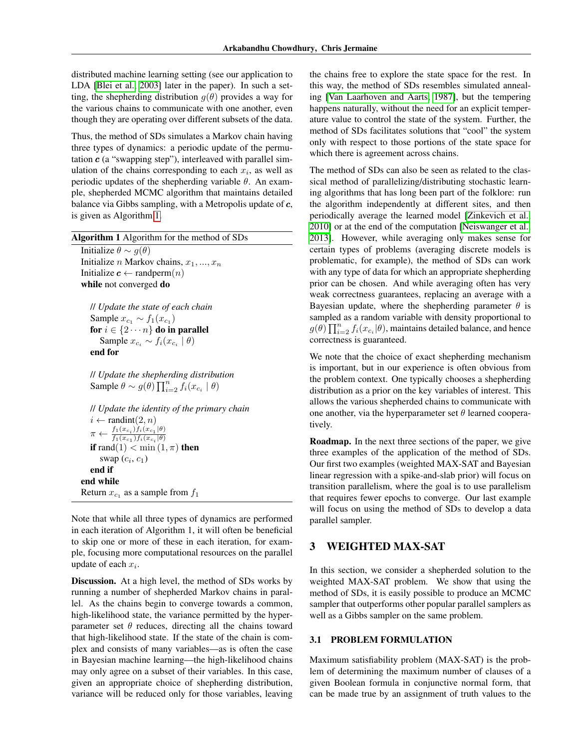distributed machine learning setting (see our application to LDA [\[Blei et al., 2003\]](#page-8-17) later in the paper). In such a setting, the shepherding distribution  $q(\theta)$  provides a way for the various chains to communicate with one another, even though they are operating over different subsets of the data.

Thus, the method of SDs simulates a Markov chain having three types of dynamics: a periodic update of the permutation  $c$  (a "swapping step"), interleaved with parallel simulation of the chains corresponding to each  $x_i$ , as well as periodic updates of the shepherding variable  $\theta$ . An example, shepherded MCMC algorithm that maintains detailed balance via Gibbs sampling, with a Metropolis update of  $c$ , is given as Algorithm [1.](#page-2-0)

<span id="page-2-0"></span>

| <b>Algorithm 1</b> Algorithm for the method of SDs                                       |
|------------------------------------------------------------------------------------------|
| Initialize $\theta \sim g(\theta)$                                                       |
| Initialize <i>n</i> Markov chains, $x_1, , x_n$                                          |
| Initialize $\boldsymbol{c} \leftarrow \text{random}(n)$                                  |
| while not converged do                                                                   |
| <i>ll Update the state of each chain</i>                                                 |
| Sample $x_{c_1} \sim f_1(x_{c_1})$                                                       |
| for $i \in \{2 \cdots n\}$ do in parallel                                                |
| Sample $x_{c_i} \sim f_i(x_{c_i}   \theta)$                                              |
| end for                                                                                  |
| // Update the shepherding distribution                                                   |
| Sample $\theta \sim g(\theta) \prod_{i=2}^n f_i(x_{c_i}   \theta)$                       |
| <i>ll Update the identity of the primary chain</i>                                       |
| $i \leftarrow \text{randint}(2, n)$                                                      |
| $\pi \leftarrow \frac{f_1(x_{c_i})f_i(x_{c_1} \theta)}{f_1(x_{c_1})f_i(x_{c_i} \theta)}$ |
| <b>if</b> rand(1) $<$ min(1, $\pi$ ) <b>then</b>                                         |
| swap $(c_i, c_1)$                                                                        |

end if end while

Return  $x_{c_1}$  as a sample from  $f_1$ 

Note that while all three types of dynamics are performed in each iteration of Algorithm 1, it will often be beneficial to skip one or more of these in each iteration, for example, focusing more computational resources on the parallel update of each  $x_i$ .

Discussion. At a high level, the method of SDs works by running a number of shepherded Markov chains in parallel. As the chains begin to converge towards a common, high-likelihood state, the variance permitted by the hyperparameter set  $\theta$  reduces, directing all the chains toward that high-likelihood state. If the state of the chain is complex and consists of many variables—as is often the case in Bayesian machine learning—the high-likelihood chains may only agree on a subset of their variables. In this case, given an appropriate choice of shepherding distribution, variance will be reduced only for those variables, leaving

the chains free to explore the state space for the rest. In this way, the method of SDs resembles simulated annealing [\[Van Laarhoven and Aarts, 1987\]](#page-8-18), but the tempering happens naturally, without the need for an explicit temperature value to control the state of the system. Further, the method of SDs facilitates solutions that "cool" the system only with respect to those portions of the state space for which there is agreement across chains.

The method of SDs can also be seen as related to the classical method of parallelizing/distributing stochastic learning algorithms that has long been part of the folklore: run the algorithm independently at different sites, and then periodically average the learned model [\[Zinkevich et al.,](#page-8-19) [2010\]](#page-8-19) or at the end of the computation [\[Neiswanger et al.,](#page-8-10) [2013\]](#page-8-10). However, while averaging only makes sense for certain types of problems (averaging discrete models is problematic, for example), the method of SDs can work with any type of data for which an appropriate shepherding prior can be chosen. And while averaging often has very weak correctness guarantees, replacing an average with a Bayesian update, where the shepherding parameter  $\theta$  is sampled as a random variable with density proportional to  $g(\theta) \prod_{i=2}^n f_i(x_{c_i}|\theta)$ , maintains detailed balance, and hence correctness is guaranteed.

We note that the choice of exact shepherding mechanism is important, but in our experience is often obvious from the problem context. One typically chooses a shepherding distribution as a prior on the key variables of interest. This allows the various shepherded chains to communicate with one another, via the hyperparameter set  $\theta$  learned cooperatively.

Roadmap. In the next three sections of the paper, we give three examples of the application of the method of SDs. Our first two examples (weighted MAX-SAT and Bayesian linear regression with a spike-and-slab prior) will focus on transition parallelism, where the goal is to use parallelism that requires fewer epochs to converge. Our last example will focus on using the method of SDs to develop a data parallel sampler.

# 3 WEIGHTED MAX-SAT

In this section, we consider a shepherded solution to the weighted MAX-SAT problem. We show that using the method of SDs, it is easily possible to produce an MCMC sampler that outperforms other popular parallel samplers as well as a Gibbs sampler on the same problem.

## 3.1 PROBLEM FORMULATION

Maximum satisfiability problem (MAX-SAT) is the problem of determining the maximum number of clauses of a given Boolean formula in conjunctive normal form, that can be made true by an assignment of truth values to the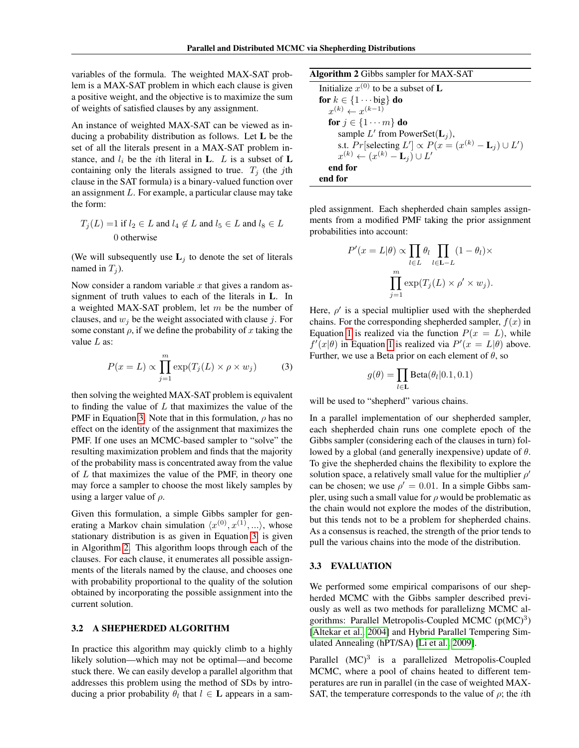variables of the formula. The weighted MAX-SAT problem is a MAX-SAT problem in which each clause is given a positive weight, and the objective is to maximize the sum of weights of satisfied clauses by any assignment.

An instance of weighted MAX-SAT can be viewed as inducing a probability distribution as follows. Let L be the set of all the literals present in a MAX-SAT problem instance, and  $l_i$  be the *i*th literal in **L**. *L* is a subset of **L** containing only the literals assigned to true.  $T_j$  (the jth clause in the SAT formula) is a binary-valued function over an assignment L. For example, a particular clause may take the form:

$$
T_j(L) = 1 \text{ if } l_2 \in L \text{ and } l_4 \notin L \text{ and } l_5 \in L \text{ and } l_8 \in L
$$
  
0 otherwise

(We will subsequently use  $L_i$  to denote the set of literals named in  $T_i$ ).

Now consider a random variable  $x$  that gives a random assignment of truth values to each of the literals in L. In a weighted MAX-SAT problem, let  $m$  be the number of clauses, and  $w_i$  be the weight associated with clause j. For some constant  $\rho$ , if we define the probability of x taking the value  $L$  as:

$$
P(x = L) \propto \prod_{j=1}^{m} \exp(T_j(L) \times \rho \times w_j)
$$
 (3)

then solving the weighted MAX-SAT problem is equivalent to finding the value of  $L$  that maximizes the value of the PMF in Equation [3.](#page-3-0) Note that in this formulation,  $\rho$  has no effect on the identity of the assignment that maximizes the PMF. If one uses an MCMC-based sampler to "solve" the resulting maximization problem and finds that the majority of the probability mass is concentrated away from the value of  $L$  that maximizes the value of the PMF, in theory one may force a sampler to choose the most likely samples by using a larger value of  $\rho$ .

Given this formulation, a simple Gibbs sampler for generating a Markov chain simulation  $\langle x^{(0)}, x^{(1)}, \ldots \rangle$ , whose stationary distribution is as given in Equation [3,](#page-3-0) is given in Algorithm [2.](#page-3-1) This algorithm loops through each of the clauses. For each clause, it enumerates all possible assignments of the literals named by the clause, and chooses one with probability proportional to the quality of the solution obtained by incorporating the possible assignment into the current solution.

### 3.2 A SHEPHERDED ALGORITHM

In practice this algorithm may quickly climb to a highly likely solution—which may not be optimal—and become stuck there. We can easily develop a parallel algorithm that addresses this problem using the method of SDs by introducing a prior probability  $\theta_l$  that  $l \in L$  appears in a sam<span id="page-3-1"></span>Algorithm 2 Gibbs sampler for MAX-SAT

Initialize  $x^{(0)}$  to be a subset of **L** for  $k \in \{1 \cdots big\}$  do  $x^{(k)} \leftarrow x^{(k-1)}$ for  $j \in \{1 \cdots m\}$  do sample L' from PowerSet( $L_j$ ), s.t.  $Pr[selecting L'] \propto P(x = (x^{(k)} - L_j) \cup L')$  $x^{(k)} \leftarrow (x^{(k)} - \mathbf{L}_j) \cup L'$ end for end for

pled assignment. Each shepherded chain samples assignments from a modified PMF taking the prior assignment probabilities into account:

$$
P'(x = L | \theta) \propto \prod_{l \in L} \theta_l \prod_{l \in L-L} (1 - \theta_l) \times \prod_{j=1}^m \exp(T_j(L) \times \rho' \times w_j).
$$

Here,  $\rho'$  is a special multiplier used with the shepherded chains. For the corresponding shepherded sampler,  $f(x)$  in Equation [1](#page-1-0) is realized via the function  $P(x = L)$ , while  $f'(x|\theta)$  in Equation [1](#page-1-0) is realized via  $P'(x=L|\theta)$  above. Further, we use a Beta prior on each element of  $\theta$ , so

$$
g(\theta) = \prod_{l \in \mathbf{L}} \text{Beta}(\theta_l | 0.1, 0.1)
$$

<span id="page-3-0"></span>will be used to "shepherd" various chains.

In a parallel implementation of our shepherded sampler, each shepherded chain runs one complete epoch of the Gibbs sampler (considering each of the clauses in turn) followed by a global (and generally inexpensive) update of  $\theta$ . To give the shepherded chains the flexibility to explore the solution space, a relatively small value for the multiplier  $\rho'$ can be chosen; we use  $\rho' = 0.01$ . In a simple Gibbs sampler, using such a small value for  $\rho$  would be problematic as the chain would not explore the modes of the distribution, but this tends not to be a problem for shepherded chains. As a consensus is reached, the strength of the prior tends to pull the various chains into the mode of the distribution.

#### 3.3 EVALUATION

We performed some empirical comparisons of our shepherded MCMC with the Gibbs sampler described previously as well as two methods for parallelizng MCMC algorithms: Parallel Metropolis-Coupled MCMC  $(p(MC)^3)$ [\[Altekar et al., 2004\]](#page-8-14) and Hybrid Parallel Tempering Simulated Annealing (hPT/SA) [\[Li et al., 2009\]](#page-8-20).

Parallel (MC)<sup>3</sup> is a parallelized Metropolis-Coupled MCMC, where a pool of chains heated to different temperatures are run in parallel (in the case of weighted MAX-SAT, the temperature corresponds to the value of  $\rho$ ; the *i*th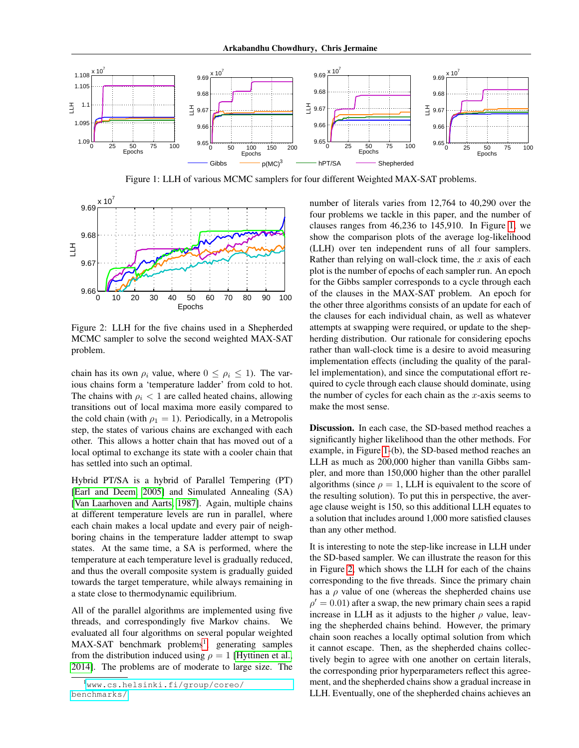

<span id="page-4-1"></span>Figure 1: LLH of various MCMC samplers for four different Weighted MAX-SAT problems.



<span id="page-4-2"></span>Figure 2: LLH for the five chains used in a Shepherded MCMC sampler to solve the second weighted MAX-SAT problem.

chain has its own  $\rho_i$  value, where  $0 \leq \rho_i \leq 1$ ). The various chains form a 'temperature ladder' from cold to hot. The chains with  $\rho_i < 1$  are called heated chains, allowing transitions out of local maxima more easily compared to the cold chain (with  $\rho_1 = 1$ ). Periodically, in a Metropolis step, the states of various chains are exchanged with each other. This allows a hotter chain that has moved out of a local optimal to exchange its state with a cooler chain that has settled into such an optimal.

Hybrid PT/SA is a hybrid of Parallel Tempering (PT) [\[Earl and Deem, 2005\]](#page-8-15) and Simulated Annealing (SA) [\[Van Laarhoven and Aarts, 1987\]](#page-8-18). Again, multiple chains at different temperature levels are run in parallel, where each chain makes a local update and every pair of neighboring chains in the temperature ladder attempt to swap states. At the same time, a SA is performed, where the temperature at each temperature level is gradually reduced, and thus the overall composite system is gradually guided towards the target temperature, while always remaining in a state close to thermodynamic equilibrium.

All of the parallel algorithms are implemented using five threads, and correspondingly five Markov chains. We evaluated all four algorithms on several popular weighted MAX-SAT benchmark problems<sup>[1](#page-4-0)</sup>, generating samples from the distribution induced using  $\rho = 1$  [\[Hyttinen et al.,](#page-8-21) [2014\]](#page-8-21). The problems are of moderate to large size. The number of literals varies from 12,764 to 40,290 over the four problems we tackle in this paper, and the number of clauses ranges from 46,236 to 145,910. In Figure [1,](#page-4-1) we show the comparison plots of the average log-likelihood (LLH) over ten independent runs of all four samplers. Rather than relying on wall-clock time, the  $x$  axis of each plot is the number of epochs of each sampler run. An epoch for the Gibbs sampler corresponds to a cycle through each of the clauses in the MAX-SAT problem. An epoch for the other three algorithms consists of an update for each of the clauses for each individual chain, as well as whatever attempts at swapping were required, or update to the shepherding distribution. Our rationale for considering epochs rather than wall-clock time is a desire to avoid measuring implementation effects (including the quality of the parallel implementation), and since the computational effort required to cycle through each clause should dominate, using the number of cycles for each chain as the  $x$ -axis seems to make the most sense.

Discussion. In each case, the SD-based method reaches a significantly higher likelihood than the other methods. For example, in Figure [1-](#page-4-1)(b), the SD-based method reaches an LLH as much as 200,000 higher than vanilla Gibbs sampler, and more than 150,000 higher than the other parallel algorithms (since  $\rho = 1$ , LLH is equivalent to the score of the resulting solution). To put this in perspective, the average clause weight is 150, so this additional LLH equates to a solution that includes around 1,000 more satisfied clauses than any other method.

It is interesting to note the step-like increase in LLH under the SD-based sampler. We can illustrate the reason for this in Figure [2,](#page-4-2) which shows the LLH for each of the chains corresponding to the five threads. Since the primary chain has a  $\rho$  value of one (whereas the shepherded chains use  $\rho' = 0.01$ ) after a swap, the new primary chain sees a rapid increase in LLH as it adjusts to the higher  $\rho$  value, leaving the shepherded chains behind. However, the primary chain soon reaches a locally optimal solution from which it cannot escape. Then, as the shepherded chains collectively begin to agree with one another on certain literals, the corresponding prior hyperparameters reflect this agreement, and the shepherded chains show a gradual increase in LLH. Eventually, one of the shepherded chains achieves an

<span id="page-4-0"></span><sup>1</sup>[www.cs.helsinki.fi/group/coreo/](https://www.cs.helsinki.fi/group/coreo/benchmarks/) [benchmarks/](https://www.cs.helsinki.fi/group/coreo/benchmarks/)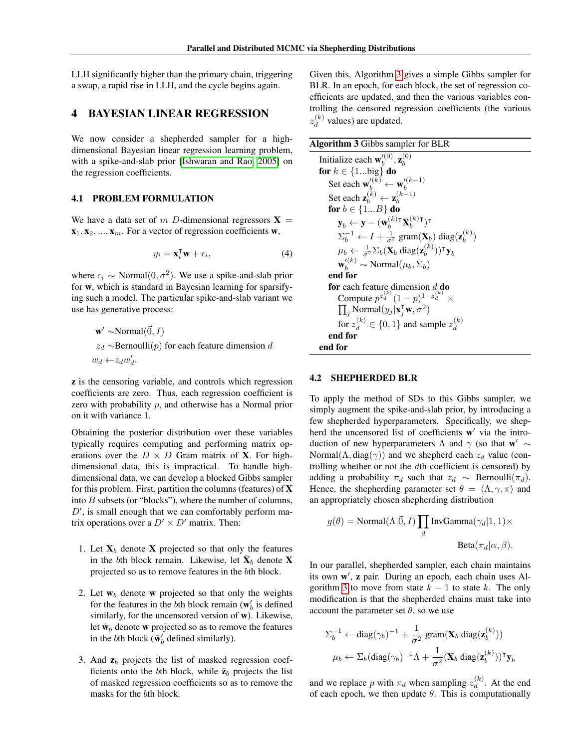LLH significantly higher than the primary chain, triggering a swap, a rapid rise in LLH, and the cycle begins again.

### 4 BAYESIAN LINEAR REGRESSION

We now consider a shepherded sampler for a highdimensional Bayesian linear regression learning problem, with a spike-and-slab prior [\[Ishwaran and Rao, 2005\]](#page-8-22) on the regression coefficients.

#### 4.1 PROBLEM FORMULATION

We have a data set of m D-dimensional regressors  $X =$  $\mathbf{x}_1, \mathbf{x}_2, \dots, \mathbf{x}_m$ . For a vector of regression coefficients w,

$$
y_i = \mathbf{x}_i^{\mathsf{T}} \mathbf{w} + \epsilon_i,\tag{4}
$$

where  $\epsilon_i \sim \text{Normal}(0, \sigma^2)$ . We use a spike-and-slab prior for w, which is standard in Bayesian learning for sparsifying such a model. The particular spike-and-slab variant we use has generative process:

$$
w' ~Normal( $\vec{0}, I$ )  
z<sub>d</sub> ~Bernoulli(*p*) for each feature dimension *d*  
 $w_d ← z_d w'_d$ .
$$

z is the censoring variable, and controls which regression coefficients are zero. Thus, each regression coefficient is zero with probability  $p$ , and otherwise has a Normal prior on it with variance 1.

Obtaining the posterior distribution over these variables typically requires computing and performing matrix operations over the  $D \times D$  Gram matrix of **X**. For highdimensional data, this is impractical. To handle highdimensional data, we can develop a blocked Gibbs sampler for this problem. First, partition the columns (features) of  $X$ into B subsets (or "blocks"), where the number of columns,  $D'$ , is small enough that we can comfortably perform matrix operations over a  $D' \times D'$  matrix. Then:

- 1. Let  $X_b$  denote X projected so that only the features in the bth block remain. Likewise, let  $\bar{\mathbf{X}}_b$  denote X projected so as to remove features in the bth block.
- 2. Let  $w_b$  denote w projected so that only the weights for the features in the bth block remain ( $w'_b$  is defined similarly, for the uncensored version of w). Likewise, let  $\bar{\mathbf{w}}_b$  denote **w** projected so as to remove the features in the *b*th block ( $\bar{\mathbf{w}}_b$  defined similarly).
- 3. And  $z_b$  projects the list of masked regression coefficients onto the bth block, while  $\bar{z}_b$  projects the list of masked regression coefficients so as to remove the masks for the bth block.

Given this, Algorithm [3](#page-5-0) gives a simple Gibbs sampler for BLR. In an epoch, for each block, the set of regression coefficients are updated, and then the various variables controlling the censored regression coefficients (the various  $z_d^{(k)}$  $\binom{k}{d}$  values) are updated.

<span id="page-5-0"></span>

| Algorithm 3 Gibbs sampler for BLR                                                                                                     |
|---------------------------------------------------------------------------------------------------------------------------------------|
| Initialize each $\mathbf{w}_{h}^{\prime(0)}$ , $\mathbf{z}_{h}^{(0)}$                                                                 |
| for $k \in \{1\text{big}\}\$ do                                                                                                       |
| Set each $\mathbf{w}'^{(k)}_h \leftarrow \mathbf{w}'^{(k-1)}_h$                                                                       |
| Set each $\mathbf{z}_{k}^{(k)} \leftarrow \mathbf{z}_{k}^{(k-1)}$                                                                     |
| for $b \in \{1B\}$ do                                                                                                                 |
| $\mathbf{y}_h \leftarrow \mathbf{y} - (\bar{\mathbf{w}}_h^{(k)}{}^{\mathsf{T}} \bar{\mathbf{X}}_h^{(k)}{}^{\mathsf{T}})^{\mathsf{T}}$ |
| $\Sigma_b^{-1} \leftarrow I + \frac{1}{r^2}$ gram( $\mathbf{X}_b$ ) diag( $\mathbf{z}_b^{(k)}$ )                                      |
| $\mu_b \leftarrow \frac{1}{\epsilon^2} \Sigma_b(\mathbf{X}_b \text{ diag}(\mathbf{z}_b^{(k)}))^{\mathsf{T}} \mathbf{y}_b$             |
| $\mathbf{w}'_k^{(k)} \sim \text{Normal}(\mu_b, \Sigma_b)$                                                                             |
| end for                                                                                                                               |
| for each feature dimension $d$ do                                                                                                     |
| Compute $p^{z_d^{(k)}}(1-p)^{1-z_d^{(k)}} \times$                                                                                     |
| $\prod_i$ Normal $(y_j \mathbf{x}_i^{\mathsf{T}}\mathbf{w}, \sigma^2)$                                                                |
| for $z_4^{(k)} \in \{0,1\}$ and sample $z_4^{(k)}$                                                                                    |
| end for                                                                                                                               |
| end for                                                                                                                               |

#### 4.2 SHEPHERDED BLR

To apply the method of SDs to this Gibbs sampler, we simply augment the spike-and-slab prior, by introducing a few shepherded hyperparameters. Specifically, we shepherd the uncensored list of coefficients w' via the introduction of new hyperparameters  $\Lambda$  and  $\gamma$  (so that  $\mathbf{w}' \sim$ Normal( $\Lambda$ , diag( $\gamma$ )) and we shepherd each  $z_d$  value (controlling whether or not the dth coefficient is censored) by adding a probability  $\pi_d$  such that  $z_d \sim \text{Bernoulli}(\pi_d)$ . Hence, the shepherding parameter set  $\theta = \langle \Lambda, \gamma, \pi \rangle$  and an appropriately chosen shepherding distribution

$$
g(\theta) = \text{Normal}(\Lambda|\vec{0}, I) \prod_{d} \text{InvGamma}(\gamma_d|1, 1) \times
$$
  

$$
\text{Beta}(\pi_d|\alpha, \beta).
$$

In our parallel, shepherded sampler, each chain maintains its own w', z pair. During an epoch, each chain uses Al-gorithm [3](#page-5-0) to move from state  $k - 1$  to state k. The only modification is that the shepherded chains must take into account the parameter set  $\theta$ , so we use

$$
\Sigma_b^{-1} \leftarrow \text{diag}(\gamma_b)^{-1} + \frac{1}{\sigma^2} \operatorname{gram}(\mathbf{X}_b \operatorname{diag}(\mathbf{z}_b^{(k)}))
$$

$$
\mu_b \leftarrow \Sigma_b (\text{diag}(\gamma_b)^{-1} \Lambda + \frac{1}{\sigma^2} (\mathbf{X}_b \operatorname{diag}(\mathbf{z}_b^{(k)}))^{\mathsf{T}} \mathbf{y}_b
$$

and we replace p with  $\pi_d$  when sampling  $z_d^{(k)}$  $\frac{d^{(k)}}{dt}$ . At the end of each epoch, we then update  $\theta$ . This is computationally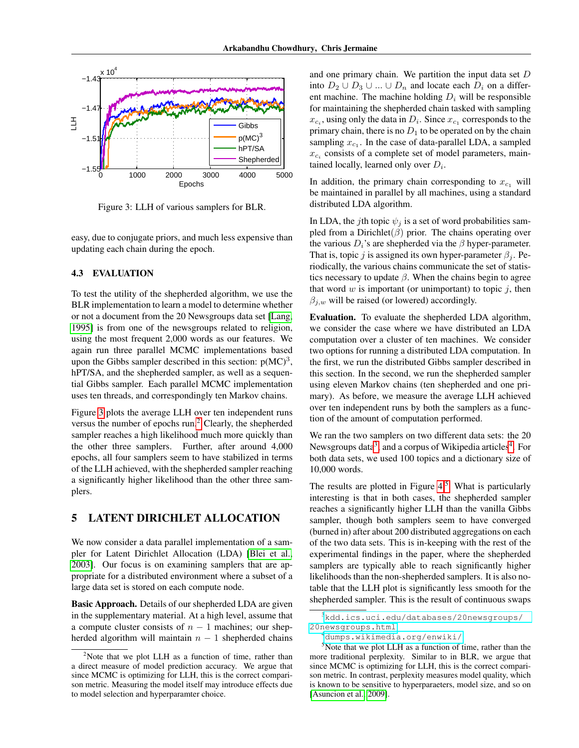

<span id="page-6-0"></span>Figure 3: LLH of various samplers for BLR.

easy, due to conjugate priors, and much less expensive than updating each chain during the epoch.

### 4.3 EVALUATION

To test the utility of the shepherded algorithm, we use the BLR implementation to learn a model to determine whether or not a document from the 20 Newsgroups data set [\[Lang,](#page-8-23) [1995\]](#page-8-23) is from one of the newsgroups related to religion, using the most frequent 2,000 words as our features. We again run three parallel MCMC implementations based upon the Gibbs sampler described in this section:  $p(MC)^3$ , hPT/SA, and the shepherded sampler, as well as a sequential Gibbs sampler. Each parallel MCMC implementation uses ten threads, and correspondingly ten Markov chains.

Figure [3](#page-6-0) plots the average LLH over ten independent runs versus the number of epochs run.[2](#page-6-1) Clearly, the shepherded sampler reaches a high likelihood much more quickly than the other three samplers. Further, after around 4,000 epochs, all four samplers seem to have stabilized in terms of the LLH achieved, with the shepherded sampler reaching a significantly higher likelihood than the other three samplers.

### 5 LATENT DIRICHLET ALLOCATION

We now consider a data parallel implementation of a sampler for Latent Dirichlet Allocation (LDA) [\[Blei et al.,](#page-8-17) [2003\]](#page-8-17). Our focus is on examining samplers that are appropriate for a distributed environment where a subset of a large data set is stored on each compute node.

Basic Approach. Details of our shepherded LDA are given in the supplementary material. At a high level, assume that a compute cluster consists of  $n - 1$  machines; our shepherded algorithm will maintain  $n - 1$  shepherded chains

and one primary chain. We partition the input data set  $D$ into  $D_2 \cup D_3 \cup ... \cup D_n$  and locate each  $D_i$  on a different machine. The machine holding  $D_i$  will be responsible for maintaining the shepherded chain tasked with sampling  $x_{c_i}$ , using only the data in  $D_i$ . Since  $x_{c_1}$  corresponds to the primary chain, there is no  $D_1$  to be operated on by the chain sampling  $x_{c_1}$ . In the case of data-parallel LDA, a sampled  $x_{c_i}$  consists of a complete set of model parameters, maintained locally, learned only over  $D_i$ .

In addition, the primary chain corresponding to  $x_{c_1}$  will be maintained in parallel by all machines, using a standard distributed LDA algorithm.

In LDA, the jth topic  $\psi_i$  is a set of word probabilities sampled from a Dirichlet $(\beta)$  prior. The chains operating over the various  $D_i$ 's are shepherded via the  $\beta$  hyper-parameter. That is, topic j is assigned its own hyper-parameter  $\beta_i$ . Periodically, the various chains communicate the set of statistics necessary to update  $\beta$ . When the chains begin to agree that word  $w$  is important (or unimportant) to topic  $j$ , then  $\beta_{j,w}$  will be raised (or lowered) accordingly.

Evaluation. To evaluate the shepherded LDA algorithm, we consider the case where we have distributed an LDA computation over a cluster of ten machines. We consider two options for running a distributed LDA computation. In the first, we run the distributed Gibbs sampler described in this section. In the second, we run the shepherded sampler using eleven Markov chains (ten shepherded and one primary). As before, we measure the average LLH achieved over ten independent runs by both the samplers as a function of the amount of computation performed.

We ran the two samplers on two different data sets: the 20 Newsgroups data<sup>[3](#page-6-2)</sup>, and a corpus of Wikipedia articles<sup>[4](#page-6-3)</sup>. For both data sets, we used 100 topics and a dictionary size of 10,000 words.

The results are plotted in Figure  $4<sup>5</sup>$  $4<sup>5</sup>$  $4<sup>5</sup>$  What is particularly interesting is that in both cases, the shepherded sampler reaches a significantly higher LLH than the vanilla Gibbs sampler, though both samplers seem to have converged (burned in) after about 200 distributed aggregations on each of the two data sets. This is in-keeping with the rest of the experimental findings in the paper, where the shepherded samplers are typically able to reach significantly higher likelihoods than the non-shepherded samplers. It is also notable that the LLH plot is significantly less smooth for the shepherded sampler. This is the result of continuous swaps

<span id="page-6-1"></span> $2$ Note that we plot LLH as a function of time, rather than a direct measure of model prediction accuracy. We argue that since MCMC is optimizing for LLH, this is the correct comparison metric. Measuring the model itself may introduce effects due to model selection and hyperparamter choice.

<span id="page-6-2"></span><sup>3</sup>[kdd.ics.uci.edu/databases/20newsgroups/](https://kdd.ics.uci.edu/databases/20newsgroups/20newsgroups.html) [20newsgroups.html](https://kdd.ics.uci.edu/databases/20newsgroups/20newsgroups.html)

<span id="page-6-4"></span><span id="page-6-3"></span><sup>4</sup>[dumps.wikimedia.org/enwiki/](https://dumps.wikimedia.org/enwiki/)

 $5$ Note that we plot LLH as a function of time, rather than the more traditional perplexity. Similar to in BLR, we argue that since MCMC is optimizing for LLH, this is the correct comparison metric. In contrast, perplexity measures model quality, which is known to be sensitive to hyperparaeters, model size, and so on [\[Asuncion et al., 2009\]](#page-8-24).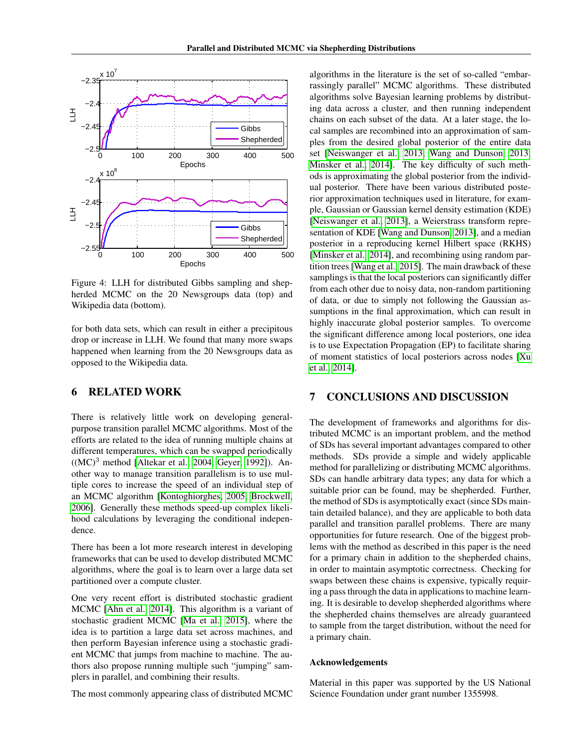

<span id="page-7-0"></span>Figure 4: LLH for distributed Gibbs sampling and shepherded MCMC on the 20 Newsgroups data (top) and Wikipedia data (bottom).

for both data sets, which can result in either a precipitous drop or increase in LLH. We found that many more swaps happened when learning from the 20 Newsgroups data as opposed to the Wikipedia data.

# 6 RELATED WORK

There is relatively little work on developing generalpurpose transition parallel MCMC algorithms. Most of the efforts are related to the idea of running multiple chains at different temperatures, which can be swapped periodically  $((MC)^3$  method [\[Altekar et al., 2004,](#page-8-14) [Geyer, 1992\]](#page-8-13)). Another way to manage transition parallelism is to use multiple cores to increase the speed of an individual step of an MCMC algorithm [\[Kontoghiorghes, 2005,](#page-8-25) [Brockwell,](#page-8-26) [2006\]](#page-8-26). Generally these methods speed-up complex likelihood calculations by leveraging the conditional independence.

There has been a lot more research interest in developing frameworks that can be used to develop distributed MCMC algorithms, where the goal is to learn over a large data set partitioned over a compute cluster.

One very recent effort is distributed stochastic gradient MCMC [\[Ahn et al., 2014\]](#page-8-4). This algorithm is a variant of stochastic gradient MCMC [\[Ma et al., 2015\]](#page-8-27), where the idea is to partition a large data set across machines, and then perform Bayesian inference using a stochastic gradient MCMC that jumps from machine to machine. The authors also propose running multiple such "jumping" samplers in parallel, and combining their results.

The most commonly appearing class of distributed MCMC

algorithms in the literature is the set of so-called "embarrassingly parallel" MCMC algorithms. These distributed algorithms solve Bayesian learning problems by distributing data across a cluster, and then running independent chains on each subset of the data. At a later stage, the local samples are recombined into an approximation of samples from the desired global posterior of the entire data set [\[Neiswanger et al., 2013,](#page-8-10) [Wang and Dunson, 2013,](#page-8-11) [Minsker et al., 2014\]](#page-8-12). The key difficulty of such methods is approximating the global posterior from the individual posterior. There have been various distributed posterior approximation techniques used in literature, for example, Gaussian or Gaussian kernel density estimation (KDE) [\[Neiswanger et al., 2013\]](#page-8-10), a Weierstrass transform representation of KDE [\[Wang and Dunson, 2013\]](#page-8-11), and a median posterior in a reproducing kernel Hilbert space (RKHS) [\[Minsker et al., 2014\]](#page-8-12), and recombining using random partition trees [\[Wang et al., 2015\]](#page-8-5). The main drawback of these samplings is that the local posteriors can significantly differ from each other due to noisy data, non-random partitioning of data, or due to simply not following the Gaussian assumptions in the final approximation, which can result in highly inaccurate global posterior samples. To overcome the significant difference among local posteriors, one idea is to use Expectation Propagation (EP) to facilitate sharing of moment statistics of local posteriors across nodes [\[Xu](#page-8-3) [et al., 2014\]](#page-8-3).

# 7 CONCLUSIONS AND DISCUSSION

The development of frameworks and algorithms for distributed MCMC is an important problem, and the method of SDs has several important advantages compared to other methods. SDs provide a simple and widely applicable method for parallelizing or distributing MCMC algorithms. SDs can handle arbitrary data types; any data for which a suitable prior can be found, may be shepherded. Further, the method of SDs is asymptotically exact (since SDs maintain detailed balance), and they are applicable to both data parallel and transition parallel problems. There are many opportunities for future research. One of the biggest problems with the method as described in this paper is the need for a primary chain in addition to the shepherded chains, in order to maintain asymptotic correctness. Checking for swaps between these chains is expensive, typically requiring a pass through the data in applications to machine learning. It is desirable to develop shepherded algorithms where the shepherded chains themselves are already guaranteed to sample from the target distribution, without the need for a primary chain.

#### Acknowledgements

Material in this paper was supported by the US National Science Foundation under grant number 1355998.